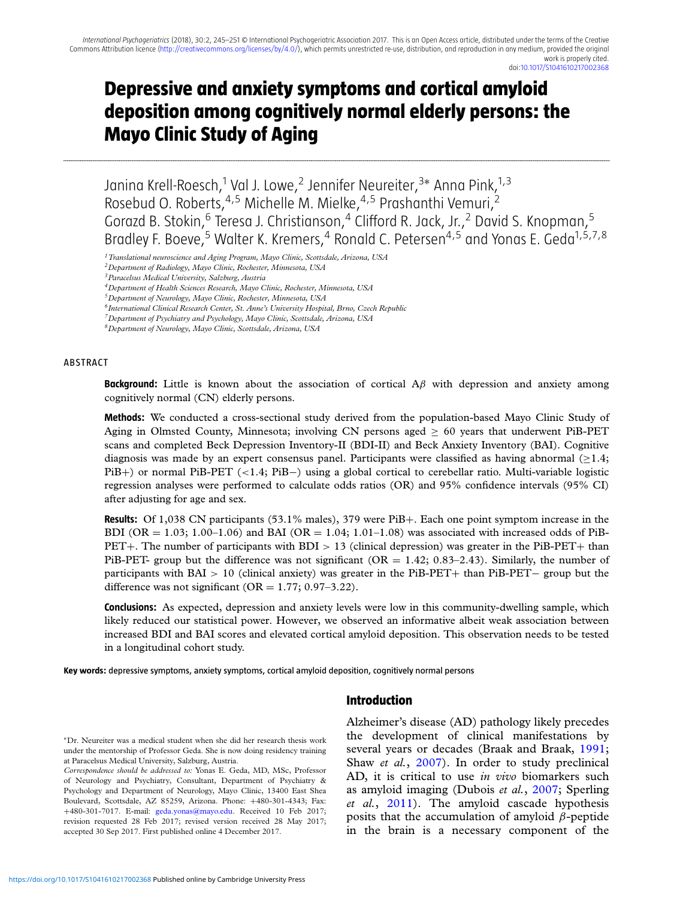# **Depressive and anxiety symptoms and cortical amyloid deposition among cognitively normal elderly persons: the Mayo Clinic Study of Aging**

...........................................................................................................................................................................................................................................................................................................................................................................................................................................................................................................................................................................................................................................

Janina Krell-Roesch,<sup>1</sup> Val J. Lowe,<sup>2</sup> Jennifer Neureiter,<sup>3</sup>\* Anna Pink,<sup>1,3</sup> Rosebud O. Roberts, <sup>4,5</sup> Michelle M. Mielke, <sup>4,5</sup> Prashanthi Vemuri, <sup>2</sup> Gorazd B. Stokin,<sup>6</sup> Teresa J. Christianson,<sup>4</sup> Clifford R. Jack, Jr.,<sup>2</sup> David S. Knopman,<sup>5</sup> Bradley F. Boeve,<sup>5</sup> Walter K. Kremers,<sup>4</sup> Ronald C. Petersen<sup>4,5</sup> and Yonas E. Geda<sup>1,5,7,8</sup>

*1Translational neuroscience and Aging Program, Mayo Clinic, Scottsdale, Arizona, USA*

*3Paracelsus Medical University, Salzburg, Austria*

*4Department of Health Sciences Research, Mayo Clinic, Rochester, Minnesota, USA*

*6International Clinical Research Center, St. Anne's University Hospital, Brno, Czech Republic*

*7Department of Psychiatry and Psychology, Mayo Clinic, Scottsdale, Arizona, USA*

#### ABSTRACT

**Background:** Little is known about the association of cortical Aβ with depression and anxiety among cognitively normal (CN) elderly persons.

**Methods:** We conducted a cross-sectional study derived from the population-based Mayo Clinic Study of Aging in Olmsted County, Minnesota; involving CN persons aged  $\geq 60$  years that underwent PiB-PET scans and completed Beck Depression Inventory-II (BDI-II) and Beck Anxiety Inventory (BAI). Cognitive diagnosis was made by an expert consensus panel. Participants were classified as having abnormal  $(\geq 1.4;$ PiB+) or normal PiB-PET (<1.4; PiB−) using a global cortical to cerebellar ratio. Multi-variable logistic regression analyses were performed to calculate odds ratios (OR) and 95% confidence intervals (95% CI) after adjusting for age and sex.

**Results:** Of 1,038 CN participants (53.1% males), 379 were PiB+. Each one point symptom increase in the BDI (OR = 1.03; 1.00–1.06) and BAI (OR = 1.04; 1.01–1.08) was associated with increased odds of PiB- $PET+$ . The number of participants with  $BDI > 13$  (clinical depression) was greater in the PiB-PET+ than PiB-PET- group but the difference was not significant ( $OR = 1.42$ ; 0.83–2.43). Similarly, the number of participants with BAI > 10 (clinical anxiety) was greater in the PiB-PET+ than PiB-PET− group but the difference was not significant ( $OR = 1.77$ ; 0.97–3.22).

**Conclusions:** As expected, depression and anxiety levels were low in this community-dwelling sample, which likely reduced our statistical power. However, we observed an informative albeit weak association between increased BDI and BAI scores and elevated cortical amyloid deposition. This observation needs to be tested in a longitudinal cohort study.

**Key words:** depressive symptoms, anxiety symptoms, cortical amyloid deposition, cognitively normal persons

#### **Introduction**

∗Dr. Neureiter was a medical student when she did her research thesis work under the mentorship of Professor Geda. She is now doing residency training at Paracelsus Medical University, Salzburg, Austria.

Alzheimer's disease (AD) pathology likely precedes the development of clinical manifestations by several years or decades (Braak and Braak, [1991;](#page-5-0) Shaw *et al.*, [2007\)](#page-6-0). In order to study preclinical AD, it is critical to use *in vivo* biomarkers such as amyloid imaging (Dubois *et al.*, [2007;](#page-5-0) Sperling *et al.*, [2011\)](#page-6-0). The amyloid cascade hypothesis posits that the accumulation of amyloid  $\beta$ -peptide in the brain is a necessary component of the

*<sup>2</sup>Department of Radiology, Mayo Clinic, Rochester, Minnesota, USA*

*<sup>5</sup>Department of Neurology, Mayo Clinic, Rochester, Minnesota, USA*

*<sup>8</sup>Department of Neurology, Mayo Clinic, Scottsdale, Arizona, USA*

*Correspondence should be addressed to:* Yonas E. Geda, MD, MSc, Professor of Neurology and Psychiatry, Consultant, Department of Psychiatry & Psychology and Department of Neurology, Mayo Clinic, 13400 East Shea Boulevard, Scottsdale, AZ 85259, Arizona. Phone: +480-301-4343; Fax: +480-301-7017. E-mail: [geda.yonas@mayo.edu.](mailto:geda.yonas@mayo.edu) Received 10 Feb 2017; revision requested 28 Feb 2017; revised version received 28 May 2017; accepted 30 Sep 2017. First published online 4 December 2017.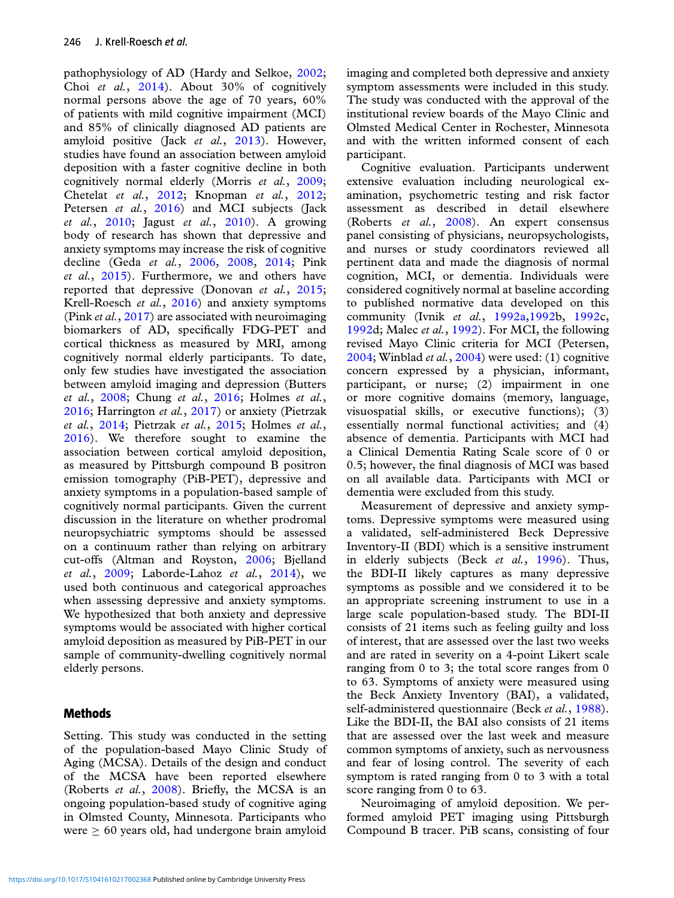pathophysiology of AD (Hardy and Selkoe, [2002;](#page-6-0) Choi *et al.*, [2014\)](#page-5-0). About 30% of cognitively normal persons above the age of 70 years, 60% of patients with mild cognitive impairment (MCI) and 85% of clinically diagnosed AD patients are amyloid positive (Jack *et al.*, [2013\)](#page-6-0). However, studies have found an association between amyloid deposition with a faster cognitive decline in both cognitively normal elderly (Morris *et al.*, [2009;](#page-6-0) Chetelat *et al.*, [2012;](#page-5-0) Knopman *et al.*, [2012;](#page-6-0) Petersen *et al.*, [2016\)](#page-6-0) and MCI subjects (Jack *et al.*, [2010;](#page-6-0) Jagust *et al.*, [2010\)](#page-6-0). A growing body of research has shown that depressive and anxiety symptoms may increase the risk of cognitive decline (Geda *et al.*, [2006,](#page-5-0) [2008,](#page-5-0) [2014;](#page-6-0) Pink *et al.*, [2015\)](#page-6-0). Furthermore, we and others have reported that depressive (Donovan *et al.*, [2015;](#page-5-0) Krell-Roesch *et al.*, [2016\)](#page-6-0) and anxiety symptoms (Pink *et al.*, [2017\)](#page-6-0) are associated with neuroimaging biomarkers of AD, specifically FDG-PET and cortical thickness as measured by MRI, among cognitively normal elderly participants. To date, only few studies have investigated the association between amyloid imaging and depression (Butters *et al.*, [2008;](#page-5-0) Chung *et al.*, [2016;](#page-5-0) Holmes *et al.*, [2016;](#page-6-0) Harrington *et al.*, [2017\)](#page-6-0) or anxiety (Pietrzak *et al.*, [2014;](#page-6-0) Pietrzak *et al.*, [2015;](#page-6-0) Holmes *et al.*, [2016\)](#page-6-0). We therefore sought to examine the association between cortical amyloid deposition, as measured by Pittsburgh compound B positron emission tomography (PiB-PET), depressive and anxiety symptoms in a population-based sample of cognitively normal participants. Given the current discussion in the literature on whether prodromal neuropsychiatric symptoms should be assessed on a continuum rather than relying on arbitrary cut-offs (Altman and Royston, [2006;](#page-5-0) Bjelland *et al.*, [2009;](#page-5-0) Laborde-Lahoz *et al.*, [2014\)](#page-6-0), we used both continuous and categorical approaches when assessing depressive and anxiety symptoms. We hypothesized that both anxiety and depressive symptoms would be associated with higher cortical amyloid deposition as measured by PiB-PET in our sample of community-dwelling cognitively normal elderly persons.

## **Methods**

Setting. This study was conducted in the setting of the population-based Mayo Clinic Study of Aging (MCSA). Details of the design and conduct of the MCSA have been reported elsewhere (Roberts *et al.*, [2008\)](#page-6-0). Briefly, the MCSA is an ongoing population-based study of cognitive aging in Olmsted County, Minnesota. Participants who were  $\geq 60$  years old, had undergone brain amyloid

imaging and completed both depressive and anxiety symptom assessments were included in this study. The study was conducted with the approval of the institutional review boards of the Mayo Clinic and Olmsted Medical Center in Rochester, Minnesota and with the written informed consent of each participant.

Cognitive evaluation. Participants underwent extensive evaluation including neurological examination, psychometric testing and risk factor assessment as described in detail elsewhere (Roberts *et al.*, [2008\)](#page-6-0). An expert consensus panel consisting of physicians, neuropsychologists, and nurses or study coordinators reviewed all pertinent data and made the diagnosis of normal cognition, MCI, or dementia. Individuals were considered cognitively normal at baseline according to published normative data developed on this community (Ivnik *et al.*, [1992a,1992b](#page-6-0), [1992c](#page-6-0), [1992d](#page-6-0); Malec *et al.*, [1992\)](#page-6-0). For MCI, the following revised Mayo Clinic criteria for MCI (Petersen, [2004;](#page-6-0) Winblad *et al.*, [2004\)](#page-6-0) were used: (1) cognitive concern expressed by a physician, informant, participant, or nurse; (2) impairment in one or more cognitive domains (memory, language, visuospatial skills, or executive functions); (3) essentially normal functional activities; and (4) absence of dementia. Participants with MCI had a Clinical Dementia Rating Scale score of 0 or 0.5; however, the final diagnosis of MCI was based on all available data. Participants with MCI or dementia were excluded from this study.

Measurement of depressive and anxiety symptoms. Depressive symptoms were measured using a validated, self-administered Beck Depressive Inventory-II (BDI) which is a sensitive instrument in elderly subjects (Beck *et al.*, [1996\)](#page-5-0). Thus, the BDI-II likely captures as many depressive symptoms as possible and we considered it to be an appropriate screening instrument to use in a large scale population-based study. The BDI-II consists of 21 items such as feeling guilty and loss of interest, that are assessed over the last two weeks and are rated in severity on a 4-point Likert scale ranging from 0 to 3; the total score ranges from 0 to 63. Symptoms of anxiety were measured using the Beck Anxiety Inventory (BAI), a validated, self-administered questionnaire (Beck *et al.*, [1988\)](#page-5-0). Like the BDI-II, the BAI also consists of 21 items that are assessed over the last week and measure common symptoms of anxiety, such as nervousness and fear of losing control. The severity of each symptom is rated ranging from 0 to 3 with a total score ranging from 0 to 63.

Neuroimaging of amyloid deposition. We performed amyloid PET imaging using Pittsburgh Compound B tracer. PiB scans, consisting of four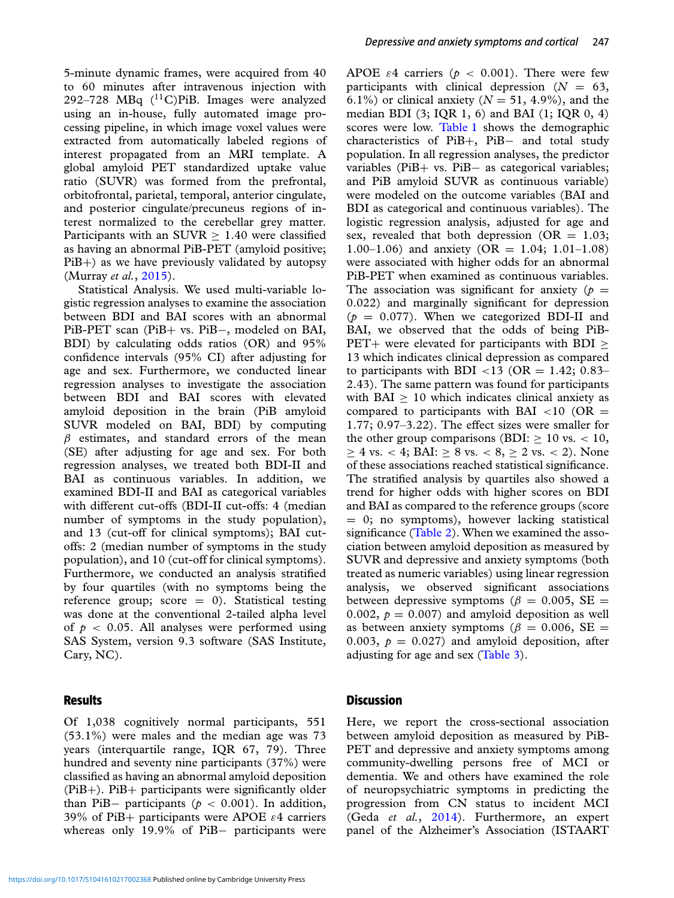5-minute dynamic frames, were acquired from 40 to 60 minutes after intravenous injection with 292-728 MBq  $(^{11}C)P$ iB. Images were analyzed using an in-house, fully automated image processing pipeline, in which image voxel values were extracted from automatically labeled regions of interest propagated from an MRI template. A global amyloid PET standardized uptake value ratio (SUVR) was formed from the prefrontal, orbitofrontal, parietal, temporal, anterior cingulate, and posterior cingulate/precuneus regions of interest normalized to the cerebellar grey matter. Participants with an  $SUVR > 1.40$  were classified as having an abnormal PiB-PET (amyloid positive;  $PiB+$ ) as we have previously validated by autopsy (Murray *et al.*, [2015\)](#page-6-0).

Statistical Analysis. We used multi-variable logistic regression analyses to examine the association between BDI and BAI scores with an abnormal PiB-PET scan (PiB+ vs. PiB-, modeled on BAI, BDI) by calculating odds ratios (OR) and 95% confidence intervals (95% CI) after adjusting for age and sex. Furthermore, we conducted linear regression analyses to investigate the association between BDI and BAI scores with elevated amyloid deposition in the brain (PiB amyloid SUVR modeled on BAI, BDI) by computing  $\beta$  estimates, and standard errors of the mean (SE) after adjusting for age and sex. For both regression analyses, we treated both BDI-II and BAI as continuous variables. In addition, we examined BDI-II and BAI as categorical variables with different cut-offs (BDI-II cut-offs: 4 (median number of symptoms in the study population), and 13 (cut-off for clinical symptoms); BAI cutoffs: 2 (median number of symptoms in the study population), and 10 (cut-off for clinical symptoms). Furthermore, we conducted an analysis stratified by four quartiles (with no symptoms being the reference group; score  $= 0$ ). Statistical testing was done at the conventional 2-tailed alpha level of  $p < 0.05$ . All analyses were performed using SAS System, version 9.3 software (SAS Institute, Cary, NC).

### **Results**

Of 1,038 cognitively normal participants, 551 (53.1%) were males and the median age was 73 years (interquartile range, IQR 67, 79). Three hundred and seventy nine participants (37%) were classified as having an abnormal amyloid deposition (PiB+). PiB+ participants were significantly older than PiB $-$  participants ( $p < 0.001$ ). In addition, 39% of PiB+ participants were APOE  $\varepsilon$ 4 carriers whereas only 19.9% of PiB− participants were

APOE  $\varepsilon$ 4 carriers ( $p < 0.001$ ). There were few participants with clinical depression  $(N = 63,$ 6.1%) or clinical anxiety  $(N = 51, 4.9\%)$ , and the median BDI  $(3; IQR 1, 6)$  and BAI  $(1; IQR 0, 4)$ scores were low. [Table 1](#page-3-0) shows the demographic characteristics of PiB+, PiB− and total study population. In all regression analyses, the predictor variables (PiB+ vs. PiB− as categorical variables; and PiB amyloid SUVR as continuous variable) were modeled on the outcome variables (BAI and BDI as categorical and continuous variables). The logistic regression analysis, adjusted for age and sex, revealed that both depression ( $OR = 1.03$ ; 1.00–1.06) and anxiety (OR = 1.04; 1.01–1.08) were associated with higher odds for an abnormal PiB-PET when examined as continuous variables. The association was significant for anxiety ( $p =$ 0.022) and marginally significant for depression  $(p = 0.077)$ . When we categorized BDI-II and BAI, we observed that the odds of being PiB-PET+ were elevated for participants with BDI  $\geq$ 13 which indicates clinical depression as compared to participants with BDI <13 (OR = 1.42; 0.83– 2.43). The same pattern was found for participants with  $BAI > 10$  which indicates clinical anxiety as compared to participants with BAI  $\langle 10 \rangle$  (OR = 1.77; 0.97–3.22). The effect sizes were smaller for the other group comparisons (BDI:  $\geq 10$  vs. < 10,  $≥$  4 vs. < 4; BAI:  $≥$  8 vs. < 8,  $≥$  2 vs. < 2). None of these associations reached statistical significance. The stratified analysis by quartiles also showed a trend for higher odds with higher scores on BDI and BAI as compared to the reference groups (score  $= 0$ ; no symptoms), however lacking statistical significance [\(Table 2\)](#page-4-0). When we examined the association between amyloid deposition as measured by SUVR and depressive and anxiety symptoms (both treated as numeric variables) using linear regression analysis, we observed significant associations between depressive symptoms ( $\beta = 0.005$ , SE = 0.002,  $p = 0.007$  and amyloid deposition as well as between anxiety symptoms ( $\beta = 0.006$ , SE = 0.003,  $p = 0.027$  and amyloid deposition, after adjusting for age and sex [\(Table 3\)](#page-4-0).

### **Discussion**

Here, we report the cross-sectional association between amyloid deposition as measured by PiB-PET and depressive and anxiety symptoms among community-dwelling persons free of MCI or dementia. We and others have examined the role of neuropsychiatric symptoms in predicting the progression from CN status to incident MCI (Geda *et al.*, [2014\)](#page-6-0). Furthermore, an expert panel of the Alzheimer's Association (ISTAART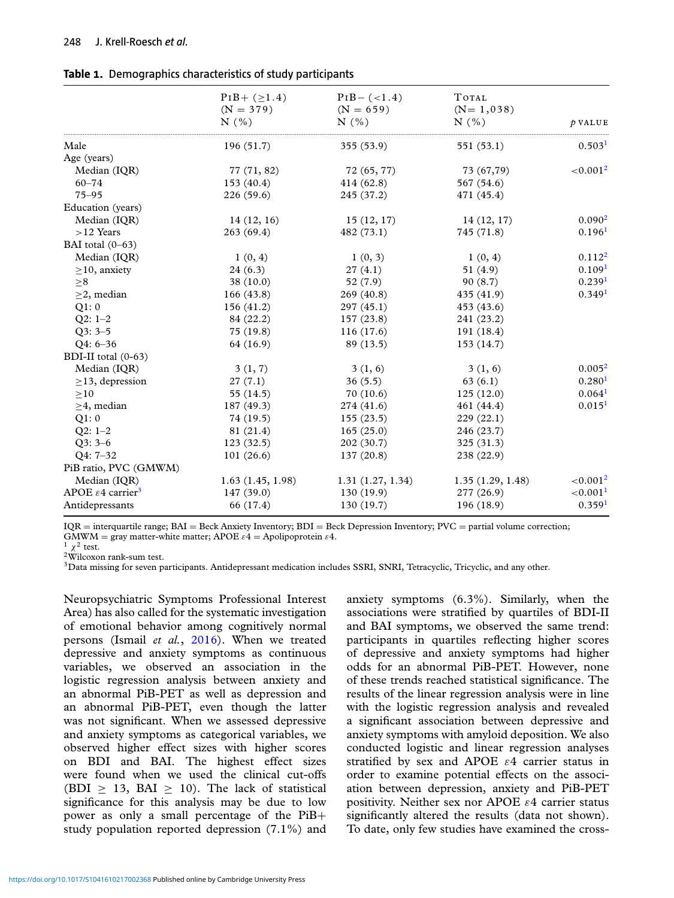<span id="page-3-0"></span>

| Table 1. Demographics characteristics of study participants |  |  |
|-------------------------------------------------------------|--|--|
|                                                             |  |  |

|                                           | $PIB + (>1.4)$   | $PIB - (<1.4)$   | TOTAL            |                      |
|-------------------------------------------|------------------|------------------|------------------|----------------------|
|                                           | $(N = 379)$      | $(N = 659)$      | $(N=1,038)$      |                      |
|                                           | N(%)             | N(% )            | N(% )            | $\rho$ VALUE         |
| Male                                      | 196 (51.7)       | 355 (53.9)       | 551 (53.1)       | 0.503 <sup>1</sup>   |
| Age (years)                               |                  |                  |                  |                      |
| Median (IQR)                              | 77 (71, 82)      | 72 (65, 77)      | 73 (67,79)       | ${<}0.0012$          |
| $60 - 74$                                 | 153 (40.4)       | 414 (62.8)       | 567 (54.6)       |                      |
| $75 - 95$                                 | 226 (59.6)       | 245 (37.2)       | 471 (45.4)       |                      |
| Education (years)                         |                  |                  |                  |                      |
| Median (IQR)                              | 14(12, 16)       | 15(12, 17)       | 14(12, 17)       | 0.090 <sup>2</sup>   |
| $>12$ Years                               | 263(69.4)        | 482 (73.1)       | 745 (71.8)       | 0.196 <sup>1</sup>   |
| BAI total (0-63)                          |                  |                  |                  |                      |
| Median (IQR)                              | 1(0, 4)          | 1(0, 3)          | 1(0, 4)          | $0.112^2$            |
| $\geq$ 10, anxiety                        | 24(6.3)          | 27(4.1)          | 51 (4.9)         | 0.109 <sup>1</sup>   |
| > 8                                       | 38(10.0)         | 52 (7.9)         | 90(8.7)          | 0.239 <sup>1</sup>   |
| $\geq$ 2, median                          | 166(43.8)        | 269 (40.8)       | 435 (41.9)       | 0.349 <sup>1</sup>   |
| Q1:0                                      | 156 (41.2)       | 297 (45.1)       | 453 (43.6)       |                      |
| $Q2: 1-2$                                 | 84 (22.2)        | 157 (23.8)       | 241 (23.2)       |                      |
| $Q3:3-5$                                  | 75 (19.8)        | 116(17.6)        | 191 (18.4)       |                      |
| $Q4: 6-36$                                | 64 (16.9)        | 89 (13.5)        | 153 (14.7)       |                      |
| BDI-II total (0-63)                       |                  |                  |                  |                      |
| Median (IQR)                              | 3(1, 7)          | 3(1, 6)          | 3(1, 6)          | 0.005 <sup>2</sup>   |
| $\geq$ 13, depression                     | 27(7.1)          | 36(5.5)          | 63(6.1)          | 0.280 <sup>1</sup>   |
| $\geq$ 10                                 | 55 (14.5)        | 70(10.6)         | 125(12.0)        | 0.064 <sup>1</sup>   |
| $\geq$ 4, median                          | 187 (49.3)       | 274 (41.6)       | 461 (44.4)       | 0.015 <sup>1</sup>   |
| Q1:0                                      | 74 (19.5)        | 155(23.5)        | 229(22.1)        |                      |
| $Q2: 1-2$                                 | 81 (21.4)        | 165(25.0)        | 246 (23.7)       |                      |
| $Q3:3-6$                                  | 123(32.5)        | 202 (30.7)       | 325 (31.3)       |                      |
| O4: 7-32                                  | 101(26.6)        | 137 (20.8)       | 238 (22.9)       |                      |
| PiB ratio, PVC (GMWM)                     |                  |                  |                  |                      |
| Median (IQR)                              | 1.63(1.45, 1.98) | 1.31(1.27, 1.34) | 1.35(1.29, 1.48) | ${<}0.0012$          |
| APOE $\varepsilon$ 4 carrier <sup>3</sup> | 147 (39.0)       | 130(19.9)        | 277 (26.9)       | < 0.001 <sup>1</sup> |
| Antidepressants                           | 66 (17.4)        | 130 (19.7)       | 196 (18.9)       | 0.359 <sup>1</sup>   |

 $IQR =$  interquartile range;  $BAI =$  Beck Anxiety Inventory;  $BDI =$  Beck Depression Inventory;  $PVC =$  partial volume correction; GMWM = gray matter-white matter; APOE  $\varepsilon$ 4 = Apolipoprotein  $\varepsilon$ 4.<br><sup>1</sup>  $\chi$ <sup>2</sup> test.<br><sup>2</sup>Wilcoxon rank-sum test.

 $3$ Data missing for seven participants. Antidepressant medication includes SSRI, SNRI, Tetracyclic, Tricyclic, and any other.

Neuropsychiatric Symptoms Professional Interest Area) has also called for the systematic investigation of emotional behavior among cognitively normal persons (Ismail *et al.*, [2016\)](#page-6-0). When we treated depressive and anxiety symptoms as continuous variables, we observed an association in the logistic regression analysis between anxiety and an abnormal PiB-PET as well as depression and an abnormal PiB-PET, even though the latter was not significant. When we assessed depressive and anxiety symptoms as categorical variables, we observed higher effect sizes with higher scores on BDI and BAI. The highest effect sizes were found when we used the clinical cut-offs (BDI  $> 13$ , BAI  $> 10$ ). The lack of statistical significance for this analysis may be due to low power as only a small percentage of the PiB+ study population reported depression (7.1%) and

anxiety symptoms (6.3%). Similarly, when the associations were stratified by quartiles of BDI-II and BAI symptoms, we observed the same trend: participants in quartiles reflecting higher scores of depressive and anxiety symptoms had higher odds for an abnormal PiB-PET. However, none of these trends reached statistical significance. The results of the linear regression analysis were in line with the logistic regression analysis and revealed a significant association between depressive and anxiety symptoms with amyloid deposition. We also conducted logistic and linear regression analyses stratified by sex and APOE  $\varepsilon$ 4 carrier status in order to examine potential effects on the association between depression, anxiety and PiB-PET positivity. Neither sex nor APOE  $\varepsilon$ 4 carrier status significantly altered the results (data not shown). To date, only few studies have examined the cross-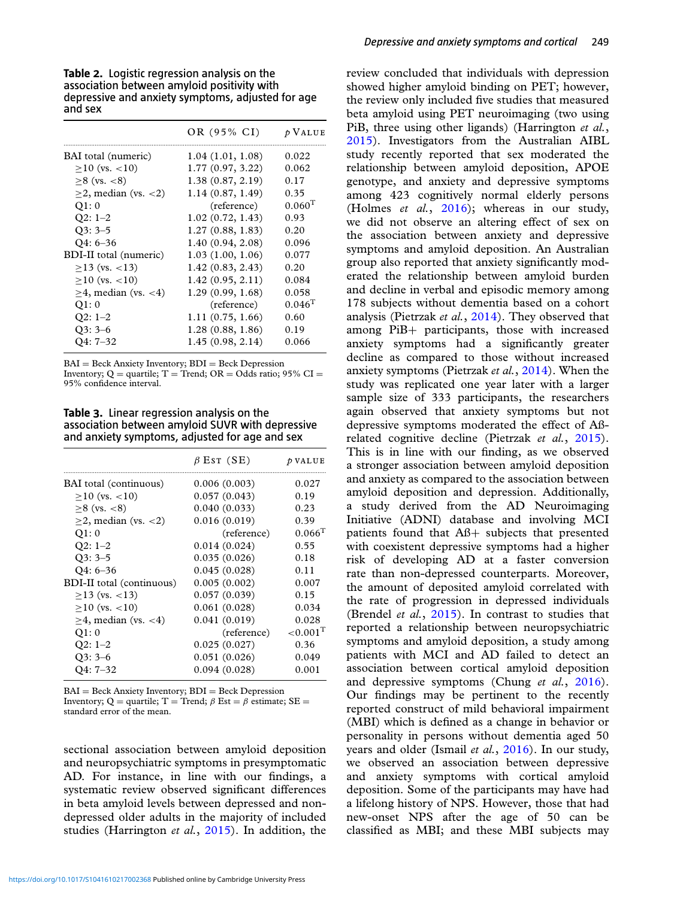<span id="page-4-0"></span>**Table 2.** Logistic regression analysis on the association between amyloid positivity with depressive and anxiety symptoms, adjusted for age and sex

|                           | OR (95% CI)      | $\n  p VALUE$   |
|---------------------------|------------------|-----------------|
| BAI total (numeric)       | 1.04(1.01, 1.08) | 0.022           |
| $>10$ (vs. $<10$ )        | 1.77(0.97, 3.22) | 0.062           |
| $>8$ (vs. $< 8$ )         | 1.38(0.87, 2.19) | 0.17            |
| $>2$ , median (vs. $<2$ ) | 1.14(0.87, 1.49) | 0.35            |
| Q1:0                      | (reference)      | $0.060^{\rm T}$ |
| $Q2: 1-2$                 | 1.02(0.72, 1.43) | 0.93            |
| $O3:3-5$                  | 1.27(0.88, 1.83) | 0.20            |
| O4: 6–36                  | 1.40(0.94, 2.08) | 0.096           |
| BDI-II total (numeric)    | 1.03(1.00, 1.06) | 0.077           |
| $>13$ (vs. $<13$ )        | 1.42(0.83, 2.43) | 0.20            |
| $>10$ (vs. $<10$ )        | 1.42(0.95, 2.11) | 0.084           |
| $>4$ , median (vs. $<4$ ) | 1.29(0.99, 1.68) | 0.058           |
| O1: 0                     | (reference)      | $0.046^{T}$     |
| $Q2: 1-2$                 | 1.11(0.75, 1.66) | 0.60            |
| O3: 3–6                   | 1.28(0.88, 1.86) | 0.19            |
| O4: 7–32                  | 1.45(0.98, 2.14) | 0.066           |
|                           |                  |                 |

BAI = Beck Anxiety Inventory; BDI = Beck Depression Inventory; Q = quartile;  $T =$  Trend; OR = Odds ratio; 95% CI = 95% confidence interval.

**Table 3.** Linear regression analysis on the association between amyloid SUVR with depressive and anxiety symptoms, adjusted for age and sex

|                                  | $\beta$ Est (SE) | $\n  D VALUE$           |
|----------------------------------|------------------|-------------------------|
| BAI total (continuous)           | 0.006(0.003)     | 0.027                   |
| $>10$ (vs. $<10$ )               | 0.057(0.043)     | 0.19                    |
| $>8$ (vs. $< 8$ )                | 0.040(0.033)     | 0.23                    |
| $\geq$ 2, median (vs. <2)        | 0.016(0.019)     | 0.39                    |
| Q1:0                             | (reference)      | $0.066$ <sup>T</sup>    |
| $Q2: 1-2$                        | 0.014(0.024)     | 0.55                    |
| $Q3:3-5$                         | 0.035(0.026)     | 0.18                    |
| $Q4:6-36$                        | 0.045(0.028)     | 0.11                    |
| <b>BDI-II</b> total (continuous) | 0.005(0.002)     | 0.007                   |
| $>13$ (vs. $<13$ )               | 0.057(0.039)     | 0.15                    |
| $>10$ (vs. $<10$ )               | 0.061(0.028)     | 0.034                   |
| $>4$ , median (vs. $<4$ )        | 0.041(0.019)     | 0.028                   |
| Q1:0                             | (reference)      | ${<}0.001$ <sup>T</sup> |
| $Q2: 1-2$                        | 0.025(0.027)     | 0.36                    |
| $Q3:3-6$                         | 0.051(0.026)     | 0.049                   |
| O4: 7–32                         | 0.094(0.028)     | 0.001                   |
|                                  |                  |                         |

 $BAI = Beck$  Anxiety Inventory;  $BDI = Beck$  Depression Inventory; Q = quartile; T = Trend;  $\beta$  Est =  $\beta$  estimate; SE = standard error of the mean.

sectional association between amyloid deposition and neuropsychiatric symptoms in presymptomatic AD. For instance, in line with our findings, a systematic review observed significant differences in beta amyloid levels between depressed and nondepressed older adults in the majority of included studies (Harrington *et al.*, [2015\)](#page-6-0). In addition, the

review concluded that individuals with depression showed higher amyloid binding on PET; however, the review only included five studies that measured beta amyloid using PET neuroimaging (two using PiB, three using other ligands) (Harrington *et al.*, [2015\)](#page-6-0). Investigators from the Australian AIBL study recently reported that sex moderated the relationship between amyloid deposition, APOE genotype, and anxiety and depressive symptoms among 423 cognitively normal elderly persons (Holmes *et al.*, [2016\)](#page-6-0); whereas in our study, we did not observe an altering effect of sex on the association between anxiety and depressive symptoms and amyloid deposition. An Australian group also reported that anxiety significantly moderated the relationship between amyloid burden and decline in verbal and episodic memory among 178 subjects without dementia based on a cohort analysis (Pietrzak *et al.*, [2014\)](#page-6-0). They observed that among PiB+ participants, those with increased anxiety symptoms had a significantly greater decline as compared to those without increased anxiety symptoms (Pietrzak *et al.*, [2014\)](#page-6-0). When the study was replicated one year later with a larger sample size of 333 participants, the researchers again observed that anxiety symptoms but not depressive symptoms moderated the effect of Aßrelated cognitive decline (Pietrzak *et al.*, [2015\)](#page-6-0). This is in line with our finding, as we observed a stronger association between amyloid deposition and anxiety as compared to the association between amyloid deposition and depression. Additionally, a study derived from the AD Neuroimaging Initiative (ADNI) database and involving MCI patients found that Aß+ subjects that presented with coexistent depressive symptoms had a higher risk of developing AD at a faster conversion rate than non-depressed counterparts. Moreover, the amount of deposited amyloid correlated with the rate of progression in depressed individuals (Brendel *et al.*, [2015\)](#page-5-0). In contrast to studies that reported a relationship between neuropsychiatric symptoms and amyloid deposition, a study among patients with MCI and AD failed to detect an association between cortical amyloid deposition and depressive symptoms (Chung *et al.*, [2016\)](#page-5-0). Our findings may be pertinent to the recently reported construct of mild behavioral impairment (MBI) which is defined as a change in behavior or personality in persons without dementia aged 50 years and older (Ismail *et al.*, [2016\)](#page-6-0). In our study, we observed an association between depressive and anxiety symptoms with cortical amyloid deposition. Some of the participants may have had a lifelong history of NPS. However, those that had new-onset NPS after the age of 50 can be classified as MBI; and these MBI subjects may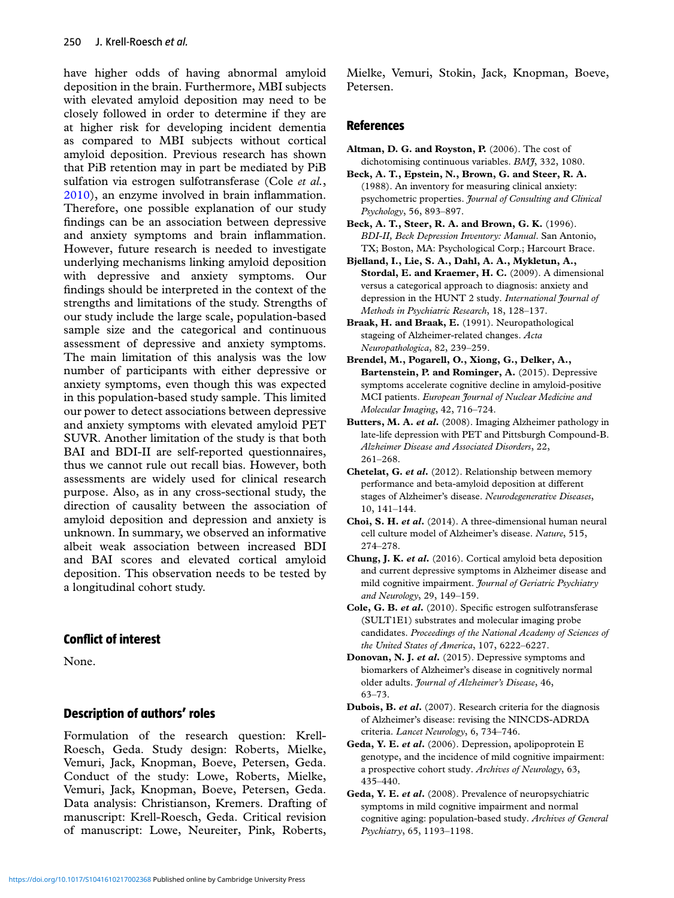<span id="page-5-0"></span>have higher odds of having abnormal amyloid deposition in the brain. Furthermore, MBI subjects with elevated amyloid deposition may need to be closely followed in order to determine if they are at higher risk for developing incident dementia as compared to MBI subjects without cortical amyloid deposition. Previous research has shown that PiB retention may in part be mediated by PiB sulfation via estrogen sulfotransferase (Cole *et al.*, 2010), an enzyme involved in brain inflammation. Therefore, one possible explanation of our study findings can be an association between depressive and anxiety symptoms and brain inflammation. However, future research is needed to investigate underlying mechanisms linking amyloid deposition with depressive and anxiety symptoms. Our findings should be interpreted in the context of the strengths and limitations of the study. Strengths of our study include the large scale, population-based sample size and the categorical and continuous assessment of depressive and anxiety symptoms. The main limitation of this analysis was the low number of participants with either depressive or anxiety symptoms, even though this was expected in this population-based study sample. This limited our power to detect associations between depressive and anxiety symptoms with elevated amyloid PET SUVR. Another limitation of the study is that both BAI and BDI-II are self-reported questionnaires, thus we cannot rule out recall bias. However, both assessments are widely used for clinical research purpose. Also, as in any cross-sectional study, the direction of causality between the association of amyloid deposition and depression and anxiety is unknown. In summary, we observed an informative albeit weak association between increased BDI and BAI scores and elevated cortical amyloid deposition. This observation needs to be tested by a longitudinal cohort study.

### **Conflict of interest**

None.

### **Description of authors' roles**

Formulation of the research question: Krell-Roesch, Geda. Study design: Roberts, Mielke, Vemuri, Jack, Knopman, Boeve, Petersen, Geda. Conduct of the study: Lowe, Roberts, Mielke, Vemuri, Jack, Knopman, Boeve, Petersen, Geda. Data analysis: Christianson, Kremers. Drafting of manuscript: Krell-Roesch, Geda. Critical revision of manuscript: Lowe, Neureiter, Pink, Roberts,

Mielke, Vemuri, Stokin, Jack, Knopman, Boeve, Petersen.

### **References**

- **Altman, D. G. and Royston, P.** (2006). The cost of dichotomising continuous variables. *BMJ*, 332, 1080.
- **Beck, A. T., Epstein, N., Brown, G. and Steer, R. A.** (1988). An inventory for measuring clinical anxiety: psychometric properties. *Journal of Consulting and Clinical Psychology*, 56, 893–897.
- **Beck, A. T., Steer, R. A. and Brown, G. K.** (1996). *BDI-II, Beck Depression Inventory: Manual*. San Antonio, TX; Boston, MA: Psychological Corp.; Harcourt Brace.
- **Bjelland, I., Lie, S. A., Dahl, A. A., Mykletun, A., Stordal, E. and Kraemer, H. C.** (2009). A dimensional versus a categorical approach to diagnosis: anxiety and depression in the HUNT 2 study. *International Journal of Methods in Psychiatric Research*, 18, 128–137.
- **Braak, H. and Braak, E.** (1991). Neuropathological stageing of Alzheimer-related changes. *Acta Neuropathologica*, 82, 239–259.
- **Brendel, M., Pogarell, O., Xiong, G., Delker, A., Bartenstein, P. and Rominger, A.** (2015). Depressive symptoms accelerate cognitive decline in amyloid-positive MCI patients. *European Journal of Nuclear Medicine and Molecular Imaging*, 42, 716–724.
- **Butters, M. A.** *et al***.** (2008). Imaging Alzheimer pathology in late-life depression with PET and Pittsburgh Compound-B. *Alzheimer Disease and Associated Disorders*, 22, 261–268.
- **Chetelat, G.** *et al***.** (2012). Relationship between memory performance and beta-amyloid deposition at different stages of Alzheimer's disease. *Neurodegenerative Diseases*, 10, 141–144.
- **Choi, S. H.** *et al***.** (2014). A three-dimensional human neural cell culture model of Alzheimer's disease. *Nature*, 515, 274–278.
- **Chung, J. K.** *et al***.** (2016). Cortical amyloid beta deposition and current depressive symptoms in Alzheimer disease and mild cognitive impairment. *Journal of Geriatric Psychiatry and Neurology*, 29, 149–159.
- **Cole, G. B.** *et al***.** (2010). Specific estrogen sulfotransferase (SULT1E1) substrates and molecular imaging probe candidates. *Proceedings of the National Academy of Sciences of the United States of America*, 107, 6222–6227.
- **Donovan, N. J.** *et al***.** (2015). Depressive symptoms and biomarkers of Alzheimer's disease in cognitively normal older adults. *Journal of Alzheimer's Disease*, 46, 63–73.
- **Dubois, B.** *et al***.** (2007). Research criteria for the diagnosis of Alzheimer's disease: revising the NINCDS-ADRDA criteria. *Lancet Neurology*, 6, 734–746.
- **Geda, Y. E.** *et al***.** (2006). Depression, apolipoprotein E genotype, and the incidence of mild cognitive impairment: a prospective cohort study. *Archives of Neurology*, 63, 435–440.
- **Geda, Y. E.** *et al***.** (2008). Prevalence of neuropsychiatric symptoms in mild cognitive impairment and normal cognitive aging: population-based study. *Archives of General Psychiatry*, 65, 1193–1198.